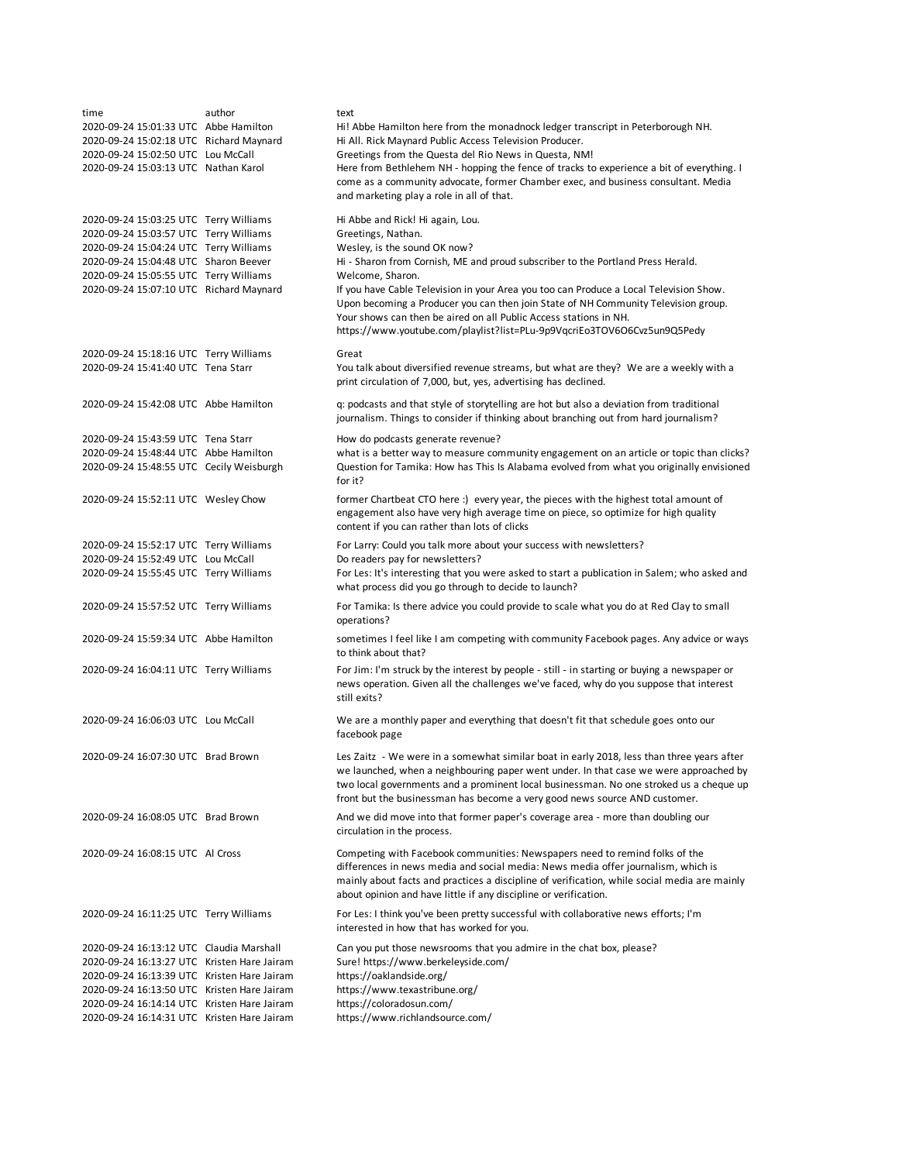| time<br>2020-09-24 15:01:33 UTC Abbe Hamilton<br>2020-09-24 15:02:18 UTC Richard Maynard<br>2020-09-24 15:02:50 UTC Lou McCall<br>2020-09-24 15:03:13 UTC Nathan Karol                                                                                                              | author | text<br>Hi! Abbe Hamilton here from the monadnock ledger transcript in Peterborough NH.<br>Hi All. Rick Maynard Public Access Television Producer.<br>Greetings from the Questa del Rio News in Questa, NM!<br>Here from Bethlehem NH - hopping the fence of tracks to experience a bit of everything. I                                                                                                                                           |
|-------------------------------------------------------------------------------------------------------------------------------------------------------------------------------------------------------------------------------------------------------------------------------------|--------|----------------------------------------------------------------------------------------------------------------------------------------------------------------------------------------------------------------------------------------------------------------------------------------------------------------------------------------------------------------------------------------------------------------------------------------------------|
|                                                                                                                                                                                                                                                                                     |        | come as a community advocate, former Chamber exec, and business consultant. Media<br>and marketing play a role in all of that.                                                                                                                                                                                                                                                                                                                     |
| 2020-09-24 15:03:25 UTC Terry Williams<br>2020-09-24 15:03:57 UTC Terry Williams<br>2020-09-24 15:04:24 UTC Terry Williams<br>2020-09-24 15:04:48 UTC Sharon Beever<br>2020-09-24 15:05:55 UTC Terry Williams<br>2020-09-24 15:07:10 UTC Richard Maynard                            |        | Hi Abbe and Rick! Hi again, Lou.<br>Greetings, Nathan.<br>Wesley, is the sound OK now?<br>Hi - Sharon from Cornish, ME and proud subscriber to the Portland Press Herald.<br>Welcome, Sharon.<br>If you have Cable Television in your Area you too can Produce a Local Television Show.<br>Upon becoming a Producer you can then join State of NH Community Television group.<br>Your shows can then be aired on all Public Access stations in NH. |
|                                                                                                                                                                                                                                                                                     |        | https://www.youtube.com/playlist?list=PLu-9p9VqcriEo3TOV6O6Cvz5un9Q5Pedy                                                                                                                                                                                                                                                                                                                                                                           |
| 2020-09-24 15:18:16 UTC Terry Williams<br>2020-09-24 15:41:40 UTC Tena Starr                                                                                                                                                                                                        |        | Great<br>You talk about diversified revenue streams, but what are they? We are a weekly with a<br>print circulation of 7,000, but, yes, advertising has declined.                                                                                                                                                                                                                                                                                  |
| 2020-09-24 15:42:08 UTC Abbe Hamilton                                                                                                                                                                                                                                               |        | q: podcasts and that style of storytelling are hot but also a deviation from traditional<br>journalism. Things to consider if thinking about branching out from hard journalism?                                                                                                                                                                                                                                                                   |
| 2020-09-24 15:43:59 UTC Tena Starr<br>2020-09-24 15:48:44 UTC Abbe Hamilton<br>2020-09-24 15:48:55 UTC Cecily Weisburgh                                                                                                                                                             |        | How do podcasts generate revenue?<br>what is a better way to measure community engagement on an article or topic than clicks?<br>Question for Tamika: How has This Is Alabama evolved from what you originally envisioned<br>for it?                                                                                                                                                                                                               |
| 2020-09-24 15:52:11 UTC Wesley Chow                                                                                                                                                                                                                                                 |        | former Chartbeat CTO here :) every year, the pieces with the highest total amount of<br>engagement also have very high average time on piece, so optimize for high quality<br>content if you can rather than lots of clicks                                                                                                                                                                                                                        |
| 2020-09-24 15:52:17 UTC Terry Williams<br>2020-09-24 15:52:49 UTC Lou McCall<br>2020-09-24 15:55:45 UTC Terry Williams                                                                                                                                                              |        | For Larry: Could you talk more about your success with newsletters?<br>Do readers pay for new sletters?<br>For Les: It's interesting that you were asked to start a publication in Salem; who asked and<br>what process did you go through to decide to launch?                                                                                                                                                                                    |
| 2020-09-24 15:57:52 UTC Terry Williams                                                                                                                                                                                                                                              |        | For Tamika: Is there advice you could provide to scale what you do at Red Clay to small<br>operations?                                                                                                                                                                                                                                                                                                                                             |
| 2020-09-24 15:59:34 UTC Abbe Hamilton                                                                                                                                                                                                                                               |        | sometimes I feel like I am competing with community Facebook pages. Any advice or ways<br>to think about that?                                                                                                                                                                                                                                                                                                                                     |
| 2020-09-24 16:04:11 UTC Terry Williams                                                                                                                                                                                                                                              |        | For Jim: I'm struck by the interest by people - still - in starting or buying a newspaper or<br>news operation. Given all the challenges we've faced, why do you suppose that interest<br>still exits?                                                                                                                                                                                                                                             |
| 2020-09-24 16:06:03 UTC Lou McCall                                                                                                                                                                                                                                                  |        | We are a monthly paper and everything that doesn't fit that schedule goes onto our<br>facebook page                                                                                                                                                                                                                                                                                                                                                |
| 2020-09-24 16:07:30 UTC Brad Brown                                                                                                                                                                                                                                                  |        | Les Zaitz - We were in a somewhat similar boat in early 2018, less than three years after<br>we launched, when a neighbouring paper went under. In that case we were approached by<br>two local governments and a prominent local businessman. No one stroked us a cheque up<br>front but the businessman has become a very good news source AND customer.                                                                                         |
| 2020-09-24 16:08:05 UTC Brad Brown                                                                                                                                                                                                                                                  |        | And we did move into that former paper's coverage area - more than doubling our<br>circulation in the process.                                                                                                                                                                                                                                                                                                                                     |
| 2020-09-24 16:08:15 UTC Al Cross                                                                                                                                                                                                                                                    |        | Competing with Facebook communities: Newspapers need to remind folks of the<br>differences in news media and social media: News media offer journalism, which is<br>mainly about facts and practices a discipline of verification, while social media are mainly<br>about opinion and have little if any discipline or verification.                                                                                                               |
| 2020-09-24 16:11:25 UTC Terry Williams                                                                                                                                                                                                                                              |        | For Les: I think you've been pretty successful with collaborative news efforts; I'm<br>interested in how that has worked for you.                                                                                                                                                                                                                                                                                                                  |
| 2020-09-24 16:13:12 UTC Claudia Marshall<br>2020-09-24 16:13:27 UTC Kristen Hare Jairam<br>2020-09-24 16:13:39 UTC Kristen Hare Jairam<br>2020-09-24 16:13:50 UTC Kristen Hare Jairam<br>2020-09-24 16:14:14 UTC Kristen Hare Jairam<br>2020-09-24 16:14:31 UTC Kristen Hare Jairam |        | Can you put those newsrooms that you admire in the chat box, please?<br>Sure! https://www.berkeleyside.com/<br>https://oaklandside.org/<br>https://www.texastribune.org/<br>https://coloradosun.com/<br>https://www.richlandsource.com/                                                                                                                                                                                                            |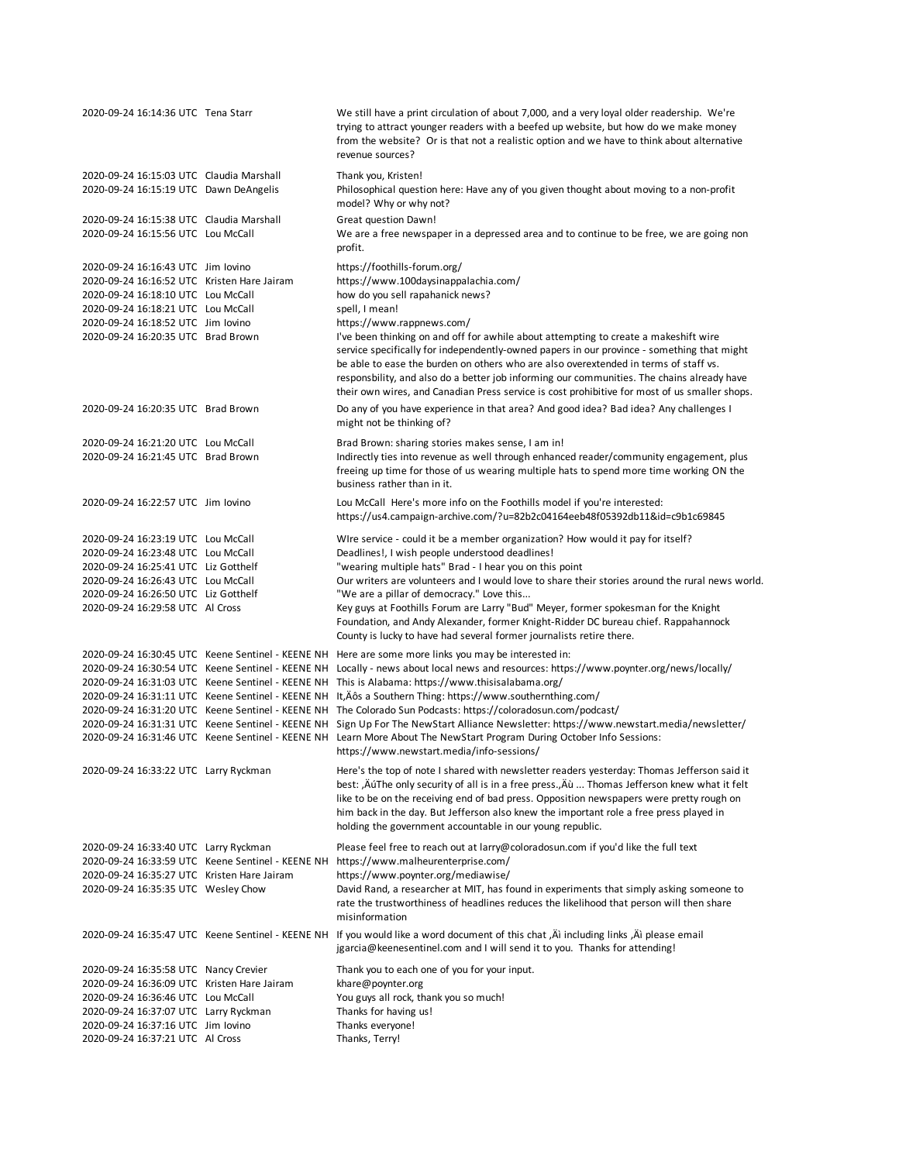| 2020-09-24 16:14:36 UTC Tena Starr                                                                                                                                                                                                            |                                                                                                        | We still have a print circulation of about 7,000, and a very loyal older readership. We're<br>trying to attract younger readers with a beefed up website, but how do we make money<br>from the website? Or is that not a realistic option and we have to think about alternative<br>revenue sources?                                                                                                                                                                                                                                                                                                                                                                                                                                                                                           |
|-----------------------------------------------------------------------------------------------------------------------------------------------------------------------------------------------------------------------------------------------|--------------------------------------------------------------------------------------------------------|------------------------------------------------------------------------------------------------------------------------------------------------------------------------------------------------------------------------------------------------------------------------------------------------------------------------------------------------------------------------------------------------------------------------------------------------------------------------------------------------------------------------------------------------------------------------------------------------------------------------------------------------------------------------------------------------------------------------------------------------------------------------------------------------|
| 2020-09-24 16:15:03 UTC Claudia Marshall<br>2020-09-24 16:15:19 UTC Dawn DeAngelis                                                                                                                                                            |                                                                                                        | Thank you, Kristen!<br>Philosophical question here: Have any of you given thought about moving to a non-profit<br>model? Why or why not?                                                                                                                                                                                                                                                                                                                                                                                                                                                                                                                                                                                                                                                       |
| 2020-09-24 16:15:38 UTC Claudia Marshall<br>2020-09-24 16:15:56 UTC Lou McCall                                                                                                                                                                |                                                                                                        | Great question Dawn!<br>We are a free newspaper in a depressed area and to continue to be free, we are going non<br>profit.                                                                                                                                                                                                                                                                                                                                                                                                                                                                                                                                                                                                                                                                    |
| 2020-09-24 16:16:43 UTC Jim lovino<br>2020-09-24 16:16:52 UTC Kristen Hare Jairam<br>2020-09-24 16:18:10 UTC Lou McCall<br>2020-09-24 16:18:21 UTC Lou McCall<br>2020-09-24 16:18:52 UTC Jim Iovino<br>2020-09-24 16:20:35 UTC Brad Brown     |                                                                                                        | https://foothills-forum.org/<br>https://www.100daysinappalachia.com/<br>how do you sell rapahanick news?<br>spell, I mean!<br>https://www.rappnews.com/<br>I've been thinking on and off for awhile about attempting to create a makeshift wire<br>service specifically for independently-owned papers in our province - something that might<br>be able to ease the burden on others who are also overextended in terms of staff vs.<br>responsbility, and also do a better job informing our communities. The chains already have<br>their own wires, and Canadian Press service is cost prohibitive for most of us smaller shops.                                                                                                                                                           |
| 2020-09-24 16:20:35 UTC Brad Brown                                                                                                                                                                                                            |                                                                                                        | Do any of you have experience in that area? And good idea? Bad idea? Any challenges I<br>might not be thinking of?                                                                                                                                                                                                                                                                                                                                                                                                                                                                                                                                                                                                                                                                             |
| 2020-09-24 16:21:20 UTC Lou McCall<br>2020-09-24 16:21:45 UTC Brad Brown                                                                                                                                                                      |                                                                                                        | Brad Brown: sharing stories makes sense, I am in!<br>Indirectly ties into revenue as well through enhanced reader/community engagement, plus<br>freeing up time for those of us wearing multiple hats to spend more time working ON the<br>business rather than in it.                                                                                                                                                                                                                                                                                                                                                                                                                                                                                                                         |
| 2020-09-24 16:22:57 UTC Jim Iovino                                                                                                                                                                                                            |                                                                                                        | Lou McCall Here's more info on the Foothills model if you're interested:<br>https://us4.campaign-archive.com/?u=82b2c04164eeb48f05392db11&id=c9b1c69845                                                                                                                                                                                                                                                                                                                                                                                                                                                                                                                                                                                                                                        |
| 2020-09-24 16:23:19 UTC Lou McCall<br>2020-09-24 16:23:48 UTC Lou McCall<br>2020-09-24 16:25:41 UTC Liz Gotthelf<br>2020-09-24 16:26:43 UTC Lou McCall<br>2020-09-24 16:26:50 UTC Liz Gotthelf<br>2020-09-24 16:29:58 UTC Al Cross            |                                                                                                        | WIre service - could it be a member organization? How would it pay for itself?<br>Deadlines!, I wish people understood deadlines!<br>"wearing multiple hats" Brad - I hear you on this point<br>Our writers are volunteers and I would love to share their stories around the rural news world.<br>"We are a pillar of democracy." Love this<br>Key guys at Foothills Forum are Larry "Bud" Meyer, former spokesman for the Knight<br>Foundation, and Andy Alexander, former Knight-Ridder DC bureau chief. Rappahannock<br>County is lucky to have had several former journalists retire there.                                                                                                                                                                                               |
|                                                                                                                                                                                                                                               | 2020-09-24 16:31:11 UTC Keene Sentinel - KEENE NH<br>2020-09-24 16:31:31 UTC Keene Sentinel - KEENE NH | 2020-09-24 16:30:45 UTC Keene Sentinel - KEENE NH Here are some more links you may be interested in:<br>2020-09-24 16:30:54 UTC Keene Sentinel - KEENE NH Locally - news about local news and resources: https://www.poynter.org/news/locally/<br>2020-09-24 16:31:03 UTC Keene Sentinel - KEENE NH This is Alabama: https://www.thisisalabama.org/<br>It, Aôs a Southern Thing: https://www.southernthing.com/<br>2020-09-24 16:31:20 UTC Keene Sentinel - KEENE NH The Colorado Sun Podcasts: https://coloradosun.com/podcast/<br>Sign Up For The NewStart Alliance Newsletter: https://www.newstart.media/newsletter/<br>2020-09-24 16:31:46 UTC Keene Sentinel - KEENE NH Learn More About The NewStart Program During October Info Sessions:<br>https://www.newstart.media/info-sessions/ |
| 2020-09-24 16:33:22 UTC Larry Ryckman                                                                                                                                                                                                         |                                                                                                        | Here's the top of note I shared with newsletter readers yesterday: Thomas Jefferson said it<br>best: , ÄúThe only security of all is in a free press., Äù  Thomas Jefferson knew what it felt<br>like to be on the receiving end of bad press. Opposition newspapers were pretty rough on<br>him back in the day. But Jefferson also knew the important role a free press played in<br>holding the government accountable in our young republic.                                                                                                                                                                                                                                                                                                                                               |
| 2020-09-24 16:33:40 UTC Larry Ryckman<br>2020-09-24 16:35:27 UTC Kristen Hare Jairam<br>2020-09-24 16:35:35 UTC Wesley Chow                                                                                                                   |                                                                                                        | Please feel free to reach out at larry@coloradosun.com if you'd like the full text<br>2020-09-24 16:33:59 UTC Keene Sentinel - KEENE NH https://www.malheurenterprise.com/<br>https://www.poynter.org/mediawise/<br>David Rand, a researcher at MIT, has found in experiments that simply asking someone to<br>rate the trustworthiness of headlines reduces the likelihood that person will then share<br>misinformation                                                                                                                                                                                                                                                                                                                                                                      |
|                                                                                                                                                                                                                                               |                                                                                                        | 2020-09-24 16:35:47 UTC Keene Sentinel - KEENE NH If you would like a word document of this chat, Äì including links, Äì please email<br>jgarcia@keenesentinel.com and I will send it to you. Thanks for attending!                                                                                                                                                                                                                                                                                                                                                                                                                                                                                                                                                                            |
| 2020-09-24 16:35:58 UTC Nancy Crevier<br>2020-09-24 16:36:09 UTC Kristen Hare Jairam<br>2020-09-24 16:36:46 UTC Lou McCall<br>2020-09-24 16:37:07 UTC Larry Ryckman<br>2020-09-24 16:37:16 UTC Jim lovino<br>2020-09-24 16:37:21 UTC Al Cross |                                                                                                        | Thank you to each one of you for your input.<br>khare@poynter.org<br>You guys all rock, thank you so much!<br>Thanks for having us!<br>Thanks everyone!<br>Thanks, Terry!                                                                                                                                                                                                                                                                                                                                                                                                                                                                                                                                                                                                                      |